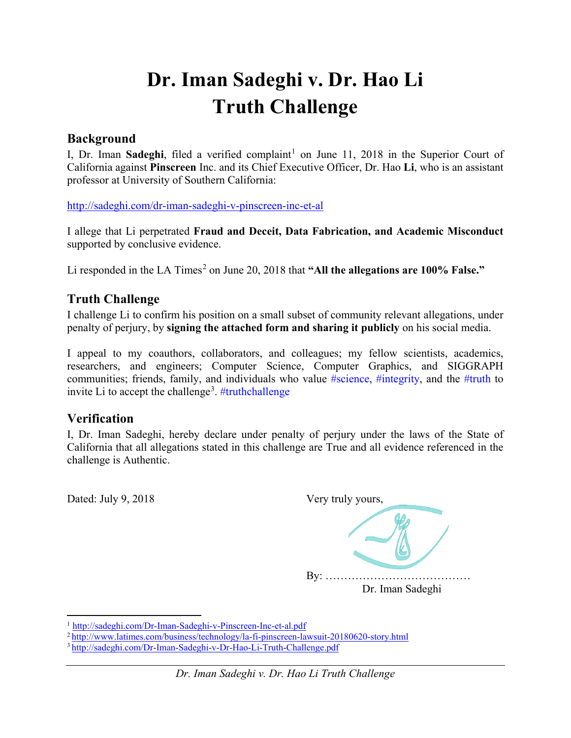# **Dr. Iman Sadeghi v. Dr. Hao Li Truth Challenge**

### **Background**

I, Dr. Iman Sadeghi, filed a verified complaint<sup>[1](#page-0-0)</sup> on June 11, 2018 in the Superior Court of California against **Pinscreen** Inc. and its Chief Executive Officer, Dr. Hao **Li**, who is an assistant professor at University of Southern California:

<http://sadeghi.com/dr-iman-sadeghi-v-pinscreen-inc-et-al>

I allege that Li perpetrated **Fraud and Deceit, Data Fabrication, and Academic Misconduct** supported by conclusive evidence.

Li responded in the LA Times<sup>[2](#page-0-1)</sup> on June 20, 2018 that "All the allegations are 100% False."

# **Truth Challenge**

I challenge Li to confirm his position on a small subset of community relevant allegations, under penalty of perjury, by **signing the attached form and sharing it publicly** on his social media.

I appeal to my coauthors, collaborators, and colleagues; my fellow scientists, academics, researchers, and engineers; Computer Science, Computer Graphics, and SIGGRAPH communities; friends, family, and individuals who value #science, #integrity, and the #truth to invite Li to accept the challenge<sup>[3](#page-0-2)</sup>. #truthchallenge

## **Verification**

I, Dr. Iman Sadeghi, hereby declare under penalty of perjury under the laws of the State of California that all allegations stated in this challenge are True and all evidence referenced in the challenge is Authentic.

Dated: July 9,  $2018$ 

| Very truly yours, |  |  |
|-------------------|--|--|
|                   |  |  |
| By:               |  |  |
| Dr. Iman Sadeghi  |  |  |

 $\overline{a}$ <sup>1</sup> <http://sadeghi.com/Dr-Iman-Sadeghi-v-Pinscreen-Inc-et-al.pdf>

<span id="page-0-1"></span><span id="page-0-0"></span><sup>2</sup> <http://www.latimes.com/business/technology/la-fi-pinscreen-lawsuit-20180620-story.html>

<span id="page-0-2"></span><sup>3</sup> <http://sadeghi.com/Dr-Iman-Sadeghi-v-Dr-Hao-Li-Truth-Challenge.pdf>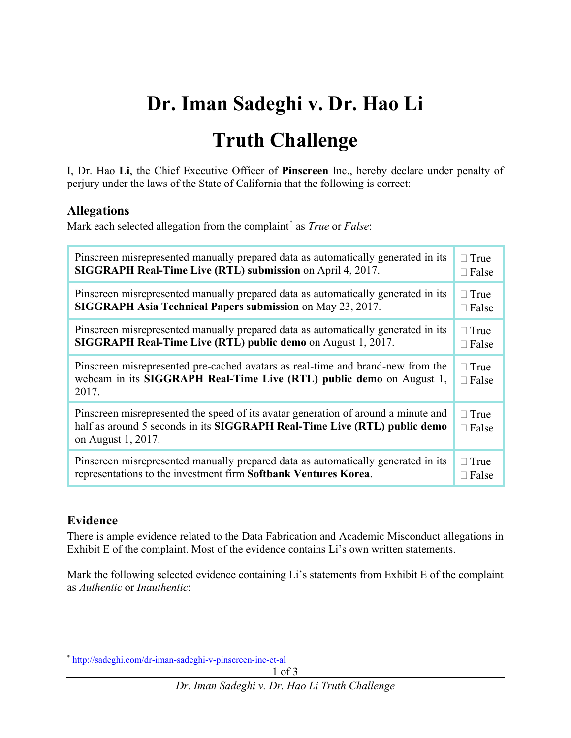# **Dr. Iman Sadeghi v. Dr. Hao Li Truth Challenge**

I, Dr. Hao **Li**, the Chief Executive Officer of **Pinscreen** Inc., hereby declare under penalty of perjury under the laws of the State of California that the following is correct:

#### **Allegations**

Mark each selected allegation from the complaint[\\*](#page-1-0) as *True* or *False*:

| Pinscreen misrepresented manually prepared data as automatically generated in its<br>SIGGRAPH Real-Time Live (RTL) submission on April 4, 2017.                                       |                             |  |
|---------------------------------------------------------------------------------------------------------------------------------------------------------------------------------------|-----------------------------|--|
| Pinscreen misrepresented manually prepared data as automatically generated in its                                                                                                     | $\Box$ True                 |  |
| <b>SIGGRAPH Asia Technical Papers submission</b> on May 23, 2017.                                                                                                                     | $\Box$ False                |  |
| Pinscreen misrepresented manually prepared data as automatically generated in its                                                                                                     | $\Box$ True                 |  |
| SIGGRAPH Real-Time Live (RTL) public demo on August 1, 2017.                                                                                                                          | $\Box$ False                |  |
| Pinscreen misrepresented pre-cached avatars as real-time and brand-new from the<br>webcam in its SIGGRAPH Real-Time Live (RTL) public demo on August 1,<br>2017.                      | $\Box$ True<br>$\Box$ False |  |
| Pinscreen misrepresented the speed of its avatar generation of around a minute and<br>half as around 5 seconds in its SIGGRAPH Real-Time Live (RTL) public demo<br>on August 1, 2017. | $\Box$ True<br>$\Box$ False |  |
| Pinscreen misrepresented manually prepared data as automatically generated in its                                                                                                     | $\Box$ True                 |  |
| representations to the investment firm Softbank Ventures Korea.                                                                                                                       | $\Box$ False                |  |

#### **Evidence**

There is ample evidence related to the Data Fabrication and Academic Misconduct allegations in Exhibit E of the complaint. Most of the evidence contains Li's own written statements.

Mark the following selected evidence containing Li's statements from Exhibit E of the complaint as *Authentic* or *Inauthentic*:

<span id="page-1-0"></span> $\overline{a}$ \* <http://sadeghi.com/dr-iman-sadeghi-v-pinscreen-inc-et-al>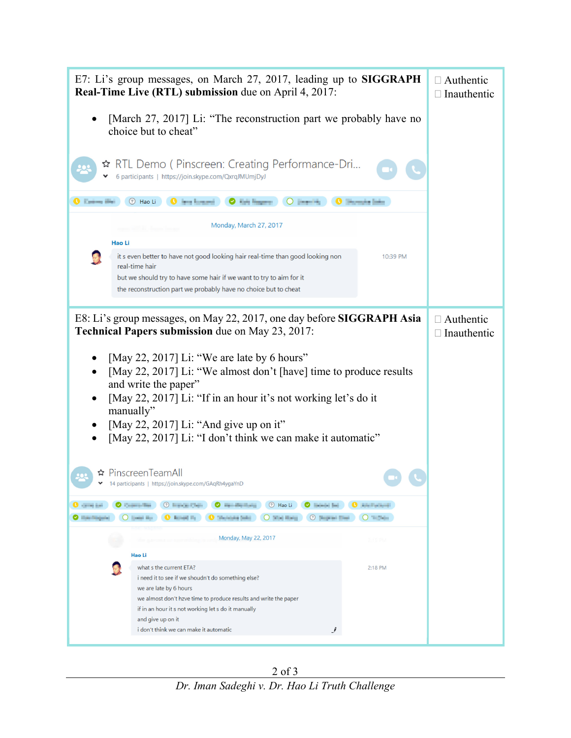

2 of 3 *[Dr. Iman Sadeghi v. Dr. Hao Li Truth Challenge](http://sadeghi.com/dr-iman-sadeghi-v-pinscreen-inc-et-al)*